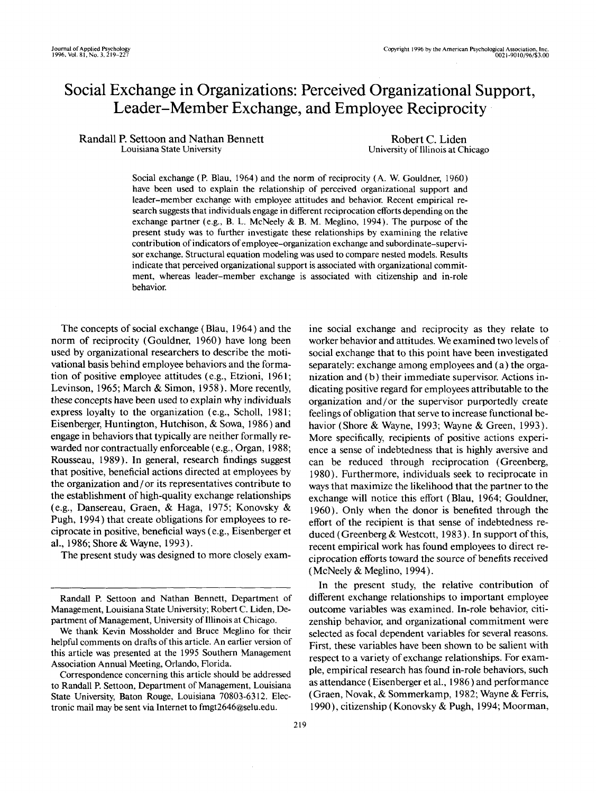# Social Exchange in Organizations: Perceived Organizational Support, Leader-Member Exchange, and Employee Reciprocity

Randall P. Settoon and Nathan Bennett Louisiana State University

Robert C. Liden University of Illinois at Chicago

Social exchange (P. Blau, 1964) and the norm of reciprocity (A. W. Gouldner, 1960) have been used to explain the relationship of perceived organizational support and leader-member exchange with employee attitudes and behavior. Recent empirical research suggests that individuals engage in different reciprocation efforts depending on the exchange partner (e.g., B. L. McNeely & B. M. Meglino, 1994). The purpose of the present study was to further investigate these relationships by examining the relative contribution of indicators of employee-organization exchange and subordinate-supervisor exchange. Structural equation modeling was used to compare nested models. Results indicate that perceived organizational support is associated with organizational commitment, whereas leader-member exchange is associated with citizenship and in-role behavior.

The concepts of social exchange (Blau, 1964) and the norm of reciprocity (Gouldner, 1960) have long been used by organizational researchers to describe the motivational basis behind employee behaviors and the formation of positive employee attitudes (e.g., Etzioni, 1961; Levinson, 1965; March & Simon, 1958). More recently, these concepts have been used to explain why individuals express loyalty to the organization (e.g., Scholl, 1981; Eisenberger, Huntington, Hutchison, & Sowa, 1986) and engage in behaviors that typically are neither formally rewarded nor contractually enforceable (e.g., Organ, 1988; Rousseau, 1989). In general, research findings suggest that positive, beneficial actions directed at employees by the organization and/or its representatives contribute to the establishment of high-quality exchange relationships (e.g., Dansereau, Graen, & Haga, 1975; Konovsky & Pugh, 1994) that create obligations for employees to reciprocate in positive, beneficial ways (e.g., Eisenberger et al., 1986; Shore & Wayne, 1993).

The present study was designed to more closely exam-

ine social exchange and reciprocity as they relate to worker behavior and attitudes. We examined two levels of social exchange that to this point have been investigated separately: exchange among employees and (a) the organization and (b) their immediate supervisor. Actions indicating positive regard for employees attributable to the organization and/or the supervisor purportedly create feelings of obligation that serve to increase functional behavior (Shore & Wayne, 1993; Wayne & Green, 1993). More specifically, recipients of positive actions experience a sense of indebtedness that is highly aversive and can be reduced through reciprocation (Greenberg, 1980). Furthermore, individuals seek to reciprocate in ways that maximize the likelihood that the partner to the exchange will notice this effort (Blau, 1964; Gouldner, 1960). Only when the donor is benefited through the effort of the recipient is that sense of indebtedness reduced (Greenberg & Westcott, 1983). In support of this, recent empirical work has found employees to direct reciprocation efforts toward the source of benefits received (McNeely & Meglino, 1994).

In the present study, the relative contribution of different exchange relationships to important employee outcome variables was examined. In-role behavior, citizenship behavior, and organizational commitment were selected as focal dependent variables for several reasons. First, these variables have been shown to be salient with respect to a variety of exchange relationships. For example, empirical research has found in-role behaviors, such as attendance (Eisenberger et al., 1986) and performance (Graen, Novak, & Sommerkamp, 1982; Wayne & Ferris, 1990), citizenship (Konovsky & Pugh, 1994; Moorman,

Randall P. Settoon and Nathan Bennett, Department of Management, Louisiana State University; Robert C. Liden, Department of Management, University of Illinois at Chicago.

We thank Kevin Mossholder and Bruce Meglino for their helpful comments on drafts of this article. An earlier version of this article was presented at the 1995 Southern Management Association Annual Meeting, Orlando, Florida.

Correspondence concerning this article should be addressed to Randall P. Settoon, Department of Management, Louisiana State University, Baton Rouge, Louisiana 70803-6312. Electronic mail may be sent via Internet to fmgt2646@selu.edu.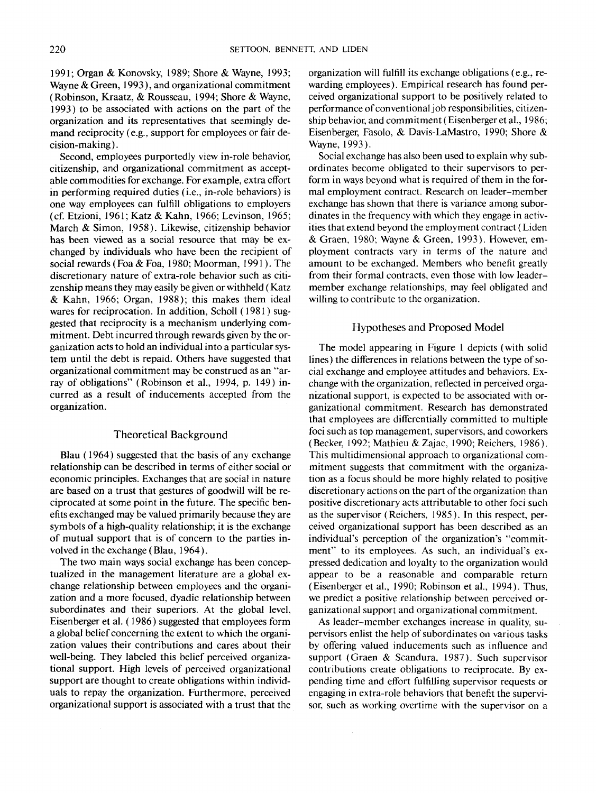1991; Organ & Konovsky, 1989; Shore & Wayne, 1993; Wayne & Green, 1993), and organizational commitment (Robinson, Kraatz, & Rousseau, 1994; Shore & Wayne, 1993) to be associated with actions on the part of the organization and its representatives that seemingly demand reciprocity (e.g., support for employees or fair decision-making).

Second, employees purportedly view in-role behavior, citizenship, and organizational commitment as acceptable commodities for exchange. For example, extra effort in performing required duties (i.e., in-role behaviors) is one way employees can fulfill obligations to employers (cf. Etzioni, 1961; Katz & Kahn, 1966; Levinson, 1965; March & Simon, 1958). Likewise, citizenship behavior has been viewed as a social resource that may be exchanged by individuals who have been the recipient of social rewards (Foa & Foa, 1980; Moorman, 1991). The discretionary nature of extra-role behavior such as citizenship means they may easily be given or withheld (Katz & Kahn, 1966; Organ, 1988); this makes them ideal wares for reciprocation. In addition, Scholl (1981) suggested that reciprocity is a mechanism underlying commitment. Debt incurred through rewards given by the organization acts to hold an individual into a particular system until the debt is repaid. Others have suggested that organizational commitment may be construed as an "array of obligations" (Robinson et al., 1994, p. 149) incurred as a result of inducements accepted from the organization.

# Theoretical Background

Blau (1964) suggested that the basis of any exchange relationship can be described in terms of either social or economic principles. Exchanges that are social in nature are based on a trust that gestures of goodwill will be reciprocated at some point in the future. The specific benefits exchanged may be valued primarily because they are symbols of a high-quality relationship; it is the exchange of mutual support that is of concern to the parties involved in the exchange (Blau, 1964).

The two main ways social exchange has been conceptualized in the management literature are a global exchange relationship between employees and the organization and a more focused, dyadic relationship between subordinates and their superiors. At the global level, Eisenberger et al. (1986) suggested that employees form a global belief concerning the extent to which the organization values their contributions and cares about their well-being. They labeled this belief perceived organizational support. High levels of perceived organizational support are thought to create obligations within individuals to repay the organization. Furthermore, perceived organizational support is associated with a trust that the

organization will fulfill its exchange obligations (e.g., rewarding employees). Empirical research has found perceived organizational support to be positively related to performance of conventional job responsibilities, citizenship behavior, and commitment (Eisenberger et al., 1986; Eisenberger, Fasolo, & Davis-LaMastro, 1990; Shore & Wayne, 1993).

Social exchange has also been used to explain why subordinates become obligated to their supervisors to perform in ways beyond what is required of them in the formal employment contract. Research on leader-member exchange has shown that there is variance among subordinates in the frequency with which they engage in activities that extend beyond the employment contract (Liden & Graen, 1980; Wayne & Green, 1993). However, employment contracts vary in terms of the nature and amount to be exchanged. Members who benefit greatly from their formal contracts, even those with low leadermember exchange relationships, may feel obligated and willing to contribute to the organization.

#### Hypotheses and Proposed Model

The model appearing in Figure 1 depicts (with solid lines) the differences in relations between the type of social exchange and employee attitudes and behaviors. Exchange with the organization, reflected in perceived organizational support, is expected to be associated with organizational commitment. Research has demonstrated that employees are differentially committed to multiple foci such as top management, supervisors, and coworkers (Becker, 1992; Mathieu & Zajac, 1990; Reichers, 1986). This multidimensional approach to organizational commitment suggests that commitment with the organization as a focus should be more highly related to positive discretionary actions on the part of the organization than positive discretionary acts attributable to other foci such as the supervisor (Reichers, 1985). In this respect, perceived organizational support has been described as an individual's perception of the organization's "commitment" to its employees. As such, an individual's expressed dedication and loyalty to the organization would appear to be a reasonable and comparable return (Eisenberger et al., 1990; Robinson et al., 1994). Thus, we predict a positive relationship between perceived organizational support and organizational commitment.

As leader-member exchanges increase in quality, supervisors enlist the help of subordinates on various tasks by offering valued inducements such as influence and support (Graen & Scandura, 1987). Such supervisor contributions create obligations to reciprocate. By expending time and effort fulfilling supervisor requests or engaging in extra-role behaviors that benefit the supervisor, such as working overtime with the supervisor on a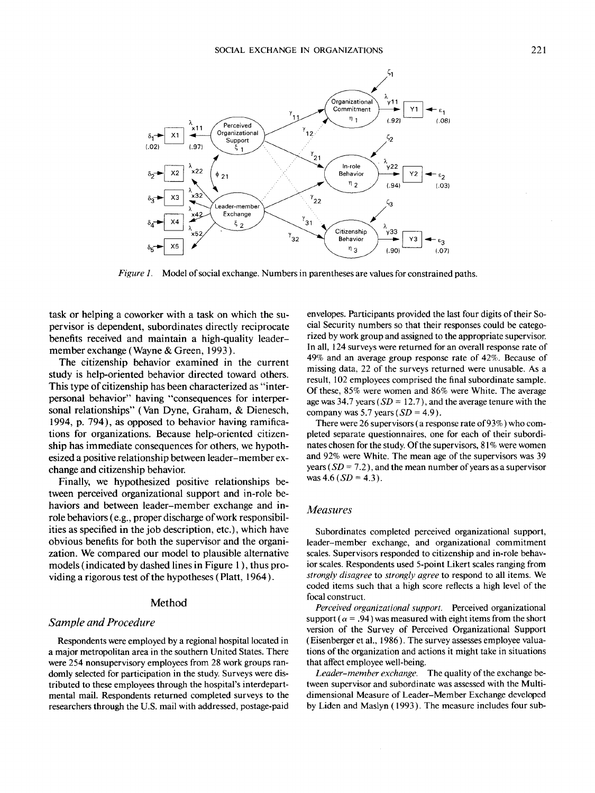

*Figure 1.* Model of social exchange. Numbers in parentheses are values for constrained paths.

task or helping a coworker with a task on which the supervisor is dependent, subordinates directly reciprocate benefits received and maintain a high-quality leadermember exchange (Wayne & Green, *1993).*

The citizenship behavior examined in the current study is help-oriented behavior directed toward others. This type of citizenship has been characterized as "interpersonal behavior" having "consequences for interpersonal relationships" (Van Dyne, Graham, & Dienesch, 1994, p. 794), as opposed to behavior having ramifications for organizations. Because help-oriented citizenship has immediate consequences for others, we hypothesized a positive relationship between leader-member exchange and citizenship behavior.

Finally, we hypothesized positive relationships between perceived organizational support and in-role behaviors and between leader-member exchange and inrole behaviors (e.g., proper discharge of work responsibilities as specified in the job description, etc.), which have obvious benefits for both the supervisor and the organization. We compared our model to plausible alternative models (indicated by dashed lines in Figure 1), thus providing a rigorous test of the hypotheses (Platt, 1964).

#### Method

# *Sample and Procedure*

Respondents were employed by a regional hospital located in a major metropolitan area in the southern United States. There were 254 nonsupervisory employees from 28 work groups randomly selected for participation in the study. Surveys were distributed to these employees through the hospital's interdepartmental mail. Respondents returned completed surveys to the researchers through the U.S. mail with addressed, postage-paid

envelopes. Participants provided the last four digits of their Social Security numbers so that their responses could be categorized by work group and assigned to the appropriate supervisor. In all, 124 surveys were returned for an overall response rate of 49% and an average group response rate of 42%. Because of missing data, 22 of the surveys returned were unusable. As a result, 102 employees comprised the final subordinate sample. Of these, 85% were women and 86% were White. The average age was 34.7 years (*SD* = 12.7), and the average tenure with the company was 5.7 years *(SD* = 4.9).

There were 26 supervisors (a response rate of 93%) who completed separate questionnaires, one for each of their subordinates chosen for the study. Of the supervisors, 81% were women and 92% were White. The mean age of the supervisors was 39 years (*SD = 7.2),* and the mean number of years as a supervisor was 4.6 ( $SD = 4.3$ ).

#### *Measures*

Subordinates completed perceived organizational support, leader-member exchange, and organizational commitment scales. Supervisors responded to citizenship and in-role behavior scales. Respondents used 5-point Likert scales ranging from *strongly disagree* to *strongly agree* to respond to all items. We coded items such that a high score reflects a high level of the focal construct.

*Perceived organizational support.* Perceived organizational support ( $\alpha$  = .94) was measured with eight items from the short version of the Survey of Perceived Organizational Support (Eisenberger et al., 1986). The survey assesses employee valuations of the organization and actions it might take in situations that affect employee well-being.

*Leader-member exchange.* The quality of the exchange between supervisor and subordinate was assessed with the Multidimensional Measure of Leader-Member Exchange developed by Liden and Maslyn (1993). The measure includes four sub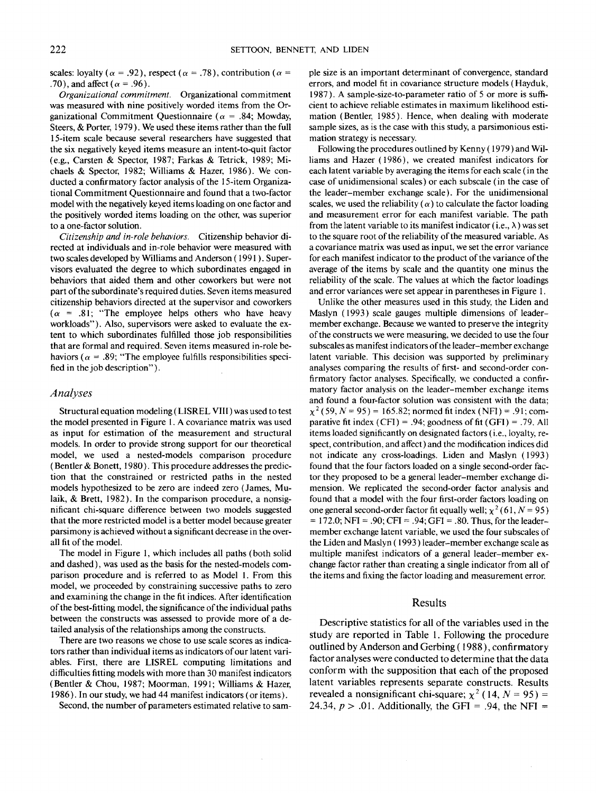scales: loyalty ( $\alpha = .92$ ), respect ( $\alpha = .78$ ), contribution ( $\alpha =$ .70), and affect ( $\alpha$  = .96).

*Organizational commitment.* Organizational commitment was measured with nine positively worded items from the Organizational Commitment Questionnaire ( $\alpha$  = .84; Mowday, Steers, & Porter, 1979). We used these items rather than the full 15-item scale because several researchers have suggested that the six negatively keyed items measure an intent-to-quit factor (e.g., Carsten & Spector, 1987; Farkas & Tetrick, 1989; Michaels & Spector, 1982; Williams & Hazer, 1986). We conducted a confirmatory factor analysis of the 15-item Organizational Commitment Questionnaire and found that a two-factor model with the negatively keyed items loading on one factor and the positively worded items loading on the other, was superior to a one-factor solution.

*Citizenship and in-role behaviors.* Citizenship behavior directed at individuals and in-role behavior were measured with two scales developed by Williams and Anderson (1991). Supervisors evaluated the degree to which subordinates engaged in behaviors that aided them and other coworkers but were not part of the subordinate's required duties. Seven items measured citizenship behaviors directed at the supervisor and coworkers  $(\alpha = .81;$  "The employee helps others who have heavy workloads"). Also, supervisors were asked to evaluate the extent to which subordinates fulfilled those job responsibilities that are formal and required. Seven items measured in-role behaviors ( $\alpha$  = .89; "The employee fulfills responsibilities specified in the job description").

# *Analyses*

Structural equation modeling (LISREL VIII) was used to test the model presented in Figure 1. A covariance matrix was used as input for estimation of the measurement and structural models. In order to provide strong support for our theoretical model, we used a nested-models comparison procedure (Bentler & Bonett, 1980). This procedure addresses the prediction that the constrained or restricted paths in the nested models hypothesized to be zero are indeed zero (James, Mulaik, & Brett, 1982). In the comparison procedure, a nonsignificant chi-square difference between two models suggested that the more restricted model is a better model because greater parsimony is achieved without a significant decrease in the overall fit of the model.

The model in Figure 1, which includes all paths (both solid and dashed), was used as the basis for the nested-models comparison procedure and is referred to as Model 1. From this model, we proceeded by constraining successive paths to zero and examining the change in the fit indices. After identification of the best-fitting model, the significance of the individual paths between the constructs was assessed to provide more of a detailed analysis of the relationships among the constructs.

There are two reasons we chose to use scale scores as indicators rather than individual items as indicators of our latent variables. First, there are LISREL computing limitations and difficulties fitting models with more than 30 manifest indicators (Bentler & Chou, 1987; Moorman, 1991; Williams & Hazer, 1986). In our study, we had 44 manifest indicators (or items).

Second, the number of parameters estimated relative to sam-

ple size is an important determinant of convergence, standard errors, and model fit in covariance structure models (Hayduk, 1987). A sample-size-to-parameter ratio of 5 or more is sufficient to achieve reliable estimates in maximum likelihood estimation (Bentler, 1985). Hence, when dealing with moderate sample sizes, as is the case with this study, a parsimonious estimation strategy is necessary.

Following the procedures outlined by Kenny (1979) and Williams and Hazer (1986), we created manifest indicators for each latent variable by averaging the items for each scale (in the case of unidimensional scales) or each subscale (in the case of the leader-member exchange scale). For the unidimensional scales, we used the reliability ( $\alpha$ ) to calculate the factor loading and measurement error for each manifest variable. The path from the latent variable to its manifest indicator (i.e.,  $\lambda$ ) was set to the square root of the reliability of the measured variable. As a covariance matrix was used as input, we set the error variance for each manifest indicator to the product of the variance of the average of the items by scale and the quantity one minus the reliability of the scale. The values at which the factor loadings and error variances were set appear in parentheses in Figure 1.

Unlike the other measures used in this study, the Liden and Maslyn (1993) scale gauges multiple dimensions of leadermember exchange. Because we wanted to preserve the integrity of the constructs we were measuring, we decided to use the four subscales as manifest indicators of the leader-member exchange latent variable. This decision was supported by preliminary analyses comparing the results of first- and second-order confirmatory factor analyses. Specifically, we conducted a confirmatory factor analysis on the leader-member exchange items and found a four-factor solution was consistent with the data;  $\chi^2$  (59, N = 95) = 165.82; normed fit index (NFI) = .91; comparative fit index  $(CFI) = .94$ ; goodness of fit  $(GFI) = .79$ . All items loaded significantly on designated factors (i.e., loyalty, respect, contribution, and affect) and the modification indices did not indicate any cross-loadings. Liden and Maslyn (1993) found that the four factors loaded on a single second-order factor they proposed to be a general leader-member exchange dimension. We replicated the second-order factor analysis and found that a model with the four first-order factors loading on one general second-order factor fit equally well;  $\chi^2$  (61, N = 95)  $= 172.0$ ; NFI = .90; CFI = .94; GFI = .80. Thus, for the leadermember exchange latent variable, we used the four subscales of the Liden and Maslyn (1993) leader-member exchange scale as multiple manifest indicators of a general leader-member exchange factor rather than creating a single indicator from all of the items and fixing the factor loading and measurement error.

### Results

Descriptive statistics for all of the variables used in the study are reported in Table 1. Following the procedure outlined by Anderson and Gerbing (1988), confirmatory factor analyses were conducted to determine that the data conform with the supposition that each of the proposed latent variables represents separate constructs. Results revealed a nonsignificant chi-square;  $\chi^2$  (14,  $N = 95$ ) = 24.34,  $p > .01$ . Additionally, the GFI = .94, the NFI =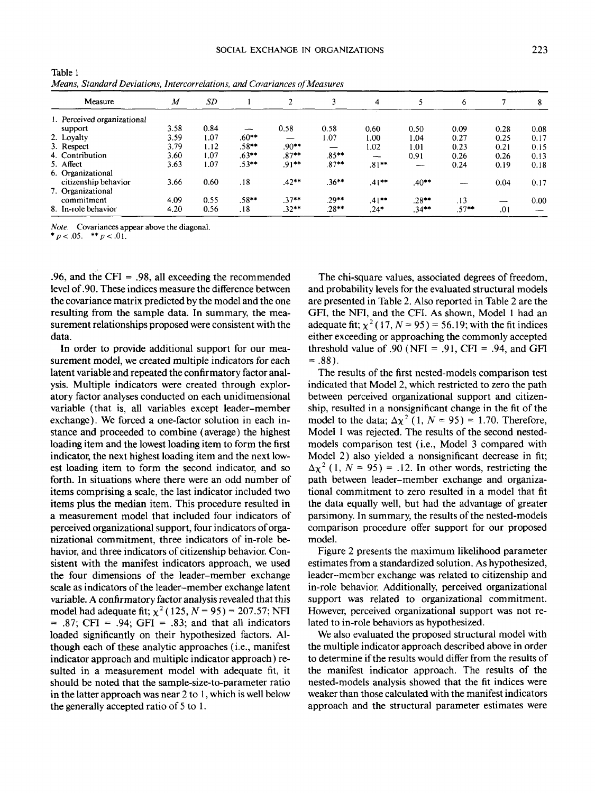| <i>vieaus, Standard Deviditons, Intercorretations, and Covariances of Measures</i> |                  |      |          |          |          |          |          |          |      |      |  |  |
|------------------------------------------------------------------------------------|------------------|------|----------|----------|----------|----------|----------|----------|------|------|--|--|
| Measure                                                                            | $\boldsymbol{M}$ | SD   |          |          |          | 4        |          | 6        |      | 8    |  |  |
| 1. Perceived organizational                                                        |                  |      |          |          |          |          |          |          |      |      |  |  |
| support                                                                            | 3.58             | 0.84 | ---      | 0.58     | 0.58     | 0.60     | 0.50     | 0.09     | 0.28 | 0.08 |  |  |
| 2. Loyalty                                                                         | 3.59             | 1.07 | $.60***$ |          | 1.07     | 1.00     | 1.04     | 0.27     | 0.25 | 0.17 |  |  |
| 3. Respect                                                                         | 3.79             | 1.12 | $.58**$  | $.90**$  |          | 1.02     | 1.01     | 0.23     | 0.21 | 0.15 |  |  |
| 4. Contribution                                                                    | 3.60             | 1.07 | $.63***$ | $.87***$ | $.85***$ | --       | 0.91     | 0.26     | 0.26 | 0.13 |  |  |
| 5. Affect                                                                          | 3.63             | 1.07 | $.53**$  | $.91***$ | $.87***$ | $.81***$ |          | 0.24     | 0.19 | 0.18 |  |  |
| 6. Organizational                                                                  |                  |      |          |          |          |          |          |          |      |      |  |  |
| citizenship behavior                                                               | 3.66             | 0.60 | .18      | $.42**$  | $.36***$ | $.41***$ | $.40**$  |          | 0.04 | 0.17 |  |  |
| 7. Organizational                                                                  |                  |      |          |          |          |          |          |          |      |      |  |  |
| commitment                                                                         | 4.09             | 0.55 | $.58**$  | $.37**$  | $.29***$ | $.41***$ | $.28**$  | .13      | _    | 0.00 |  |  |
| 8. In-role behavior                                                                | 4.20             | 0.56 | .18      | $.32***$ | $.28**$  | $.24*$   | $.34***$ | $.57***$ | .01  |      |  |  |

**Table 1** *Means, Standard Deviations, Intercorrelations, and Covariances of Measures*

*Note.* Covariances appear above the diagonal.

 $p < .05.$  \*\*  $p < .01$ .

.96, and the CFI = .98, all exceeding the recommended level of .90. These indices measure the difference between the covariance matrix predicted by the model and the one resulting from the sample data. In summary, the measurement relationships proposed were consistent with the data.

In order to provide additional support for our measurement model, we created multiple indicators for each latent variable and repeated the confirmatory factor analysis. Multiple indicators were created through exploratory factor analyses conducted on each unidimensional variable (that is, all variables except leader-member exchange). We forced a one-factor solution in each instance and proceeded to combine (average) the highest loading item and the lowest loading item to form the first indicator, the next highest loading item and the next lowest loading item to form the second indicator, and so forth. In situations where there were an odd number of items comprising a scale, the last indicator included two items plus the median item. This procedure resulted in a measurement model that included four indicators of perceived organizational support, four indicators of organizational commitment, three indicators of in-role behavior, and three indicators of citizenship behavior. Consistent with the manifest indicators approach, we used the four dimensions of the leader-member exchange scale as indicators of the leader-member exchange latent variable. A confirmatory factor analysis revealed that this model had adequate fit;  $\chi^2$  (125,  $N = 95$ ) = 207.57; NFI  $= .87$ ; CFI = .94; GFI = .83; and that all indicators loaded significantly on their hypothesized factors. Although each of these analytic approaches (i.e., manifest indicator approach and multiple indicator approach) resulted in a measurement model with adequate fit, it should be noted that the sample-size-to-parameter ratio in the latter approach was near 2 to 1, which is well below the generally accepted ratio of 5 to 1.

The chi-square values, associated degrees of freedom, and probability levels for the evaluated structural models are presented in Table 2. Also reported in Table 2 are the GFI, the NFI, and the CFI. As shown, Model 1 had an adequate fit;  $\chi^2$  (17, *N* = 95) = 56.19; with the fit indices either exceeding or approaching the commonly accepted threshold value of .90 (NFI = .91, CFI = .94, and GFI  $= .88$ ).

The results of the first nested-models comparison test indicated that Model 2, which restricted to zero the path between perceived organizational support and citizenship, resulted in a nonsignificant change in the fit of the model to the data;  $\Delta \chi^2$  (1,  $N = 95$ ) = 1.70. Therefore, Model 1 was rejected. The results of the second nestedmodels comparison test (i.e., Model 3 compared with Model 2) also yielded a nonsignificant decrease in fit;  $\Delta \chi^2$  (1, N = 95) = .12. In other words, restricting the path between leader-member exchange and organizational commitment to zero resulted in a model that fit the data equally well, but had the advantage of greater parsimony. In summary, the results of the nested-models comparison procedure offer support for our proposed model.

Figure 2 presents the maximum likelihood parameter estimates from a standardized solution. As hypothesized, leader-member exchange was related to citizenship and in-role behavior. Additionally, perceived organizational support was related to organizational commitment. However, perceived organizational support was not related to in-role behaviors as hypothesized.

We also evaluated the proposed structural model with the multiple indicator approach described above in order to determine if the results would differ from the results of the manifest indicator approach. The results of the nested-models analysis showed that the fit indices were weaker than those calculated with the manifest indicators approach and the structural parameter estimates were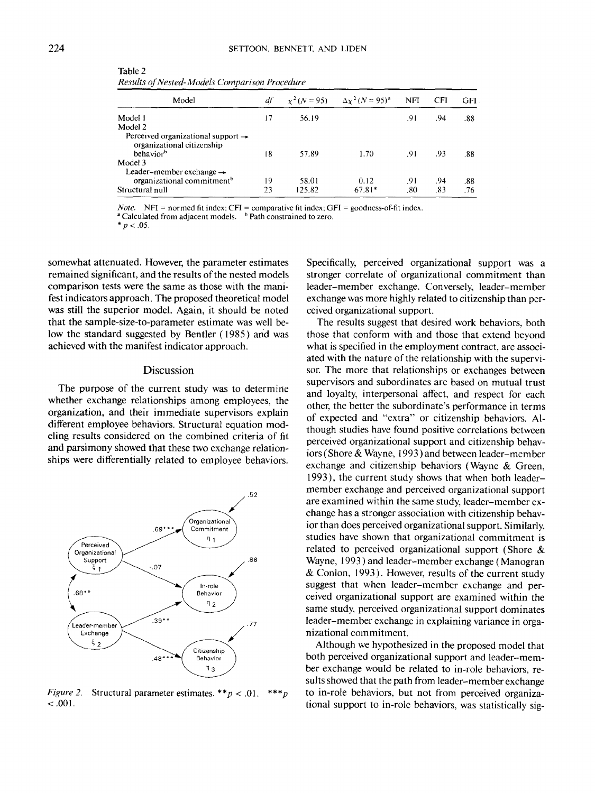Table 2 *Results of Nested- Models Comparison Procedure*

| df |        |          | <b>NFI</b>                                   | <b>CFI</b> | <b>GFI</b> |
|----|--------|----------|----------------------------------------------|------------|------------|
| 17 | 56.19  |          | .91                                          | .94        | .88        |
|    |        |          |                                              |            |            |
| 18 | 57.89  | 1.70     | .91                                          | .93        | .88        |
|    |        |          |                                              |            |            |
| 19 | 58.01  | 0.12     | .91                                          | .94        | .88        |
| 23 | 125.82 | $67.81*$ | .80                                          | .83        | .76        |
|    |        |          | $\chi^2 (N = 95)$ $\Delta \chi^2 (N = 95)^a$ |            |            |

*Note.* NFI = normed fit index; CFI = comparative fit index; GFI = goodness-of-fit index.

<sup>2</sup> Calculated from adjacent models. <sup>b</sup> Path constrained to zero.

 $*_{p < .05.}$ 

somewhat attenuated. However, the parameter estimates remained significant, and the results of the nested models comparison tests were the same as those with the manifest indicators approach. The proposed theoretical model was still the superior model. Again, it should be noted that the sample-size-to-parameter estimate was well below the standard suggested by Bentler (1985) and was achieved with the manifest indicator approach.

# **Discussion**

The purpose of the current study was to determine whether exchange relationships among employees, the organization, and their immediate supervisors explain different employee behaviors. Structural equation modeling results considered on the combined criteria of fit and parsimony showed that these two exchange relationships were differentially related to employee behaviors.



*Figure 2.* Structural parameter estimates. *\*\*p <* .01. *\*\*\*p*  $-.001.$ 

Specifically, perceived organizational support was a stronger correlate of organizational commitment than leader-member exchange. Conversely, leader-member exchange was more highly related to citizenship than perceived organizational support.

The results suggest that desired work behaviors, both those that conform with and those that extend beyond what is specified in the employment contract, are associated with the nature of the relationship with the supervisor. The more that relationships or exchanges between supervisors and subordinates are based on mutual trust and loyalty, interpersonal affect, and respect for each other, the better the subordinate's performance in terms of expected and "extra" or citizenship behaviors. Although studies have found positive correlations between perceived organizational support and citizenship behaviors (Shore & Wayne, 1993) and between leader-member exchange and citizenship behaviors (Wayne & Green, 1993), the current study shows that when both leadermember exchange and perceived organizational support are examined within the same study, leader-member exchange has a stronger association with citizenship behavior than does perceived organizational support. Similarly, studies have shown that organizational commitment is related to perceived organizational support (Shore & Wayne, 1993) and leader-member exchange (Manogran & Conlon, 1993). However, results of the current study suggest that when leader-member exchange and perceived organizational support are examined within the same study, perceived organizational support dominates leader-member exchange in explaining variance in organizational commitment.

Although we hypothesized in the proposed model that both perceived organizational support and leader-member exchange would be related to in-role behaviors, results showed that the path from leader-member exchange to in-role behaviors, but not from perceived organizational support to in-role behaviors, was statistically sig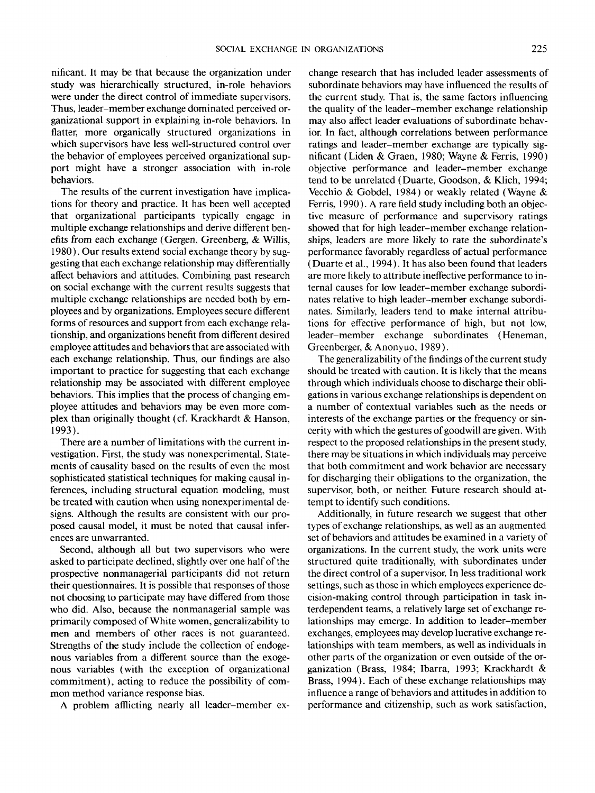nificant. It may be that because the organization under study was hierarchically structured, in-role behaviors were under the direct control of immediate supervisors. Thus, leader-member exchange dominated perceived organizational support in explaining in-role behaviors. In flatter, more organically structured organizations in which supervisors have less well-structured control over the behavior of employees perceived organizational support might have a stronger association with in-role behaviors.

The results of the current investigation have implications for theory and practice. It has been well accepted that organizational participants typically engage in multiple exchange relationships and derive different benefits from each exchange (Gergen, Greenberg, & Willis, 1980). Our results extend social exchange theory by suggesting that each exchange relationship may differentially affect behaviors and attitudes. Combining past research on social exchange with the current results suggests that multiple exchange relationships are needed both by employees and by organizations. Employees secure different forms of resources and support from each exchange relationship, and organizations benefit from different desired employee attitudes and behaviors that are associated with each exchange relationship. Thus, our findings are also important to practice for suggesting that each exchange relationship may be associated with different employee behaviors. This implies that the process of changing employee attitudes and behaviors may be even more complex than originally thought (cf. Krackhardt & Hanson, 1993).

There are a number of limitations with the current investigation. First, the study was nonexperimental. Statements of causality based on the results of even the most sophisticated statistical techniques for making causal inferences, including structural equation modeling, must be treated with caution when using nonexperimental designs. Although the results are consistent with our proposed causal model, it must be noted that causal inferences are unwarranted.

Second, although all but two supervisors who were asked to participate declined, slightly over one half of the prospective nonmanagerial participants did not return their questionnaires. It is possible that responses of those not choosing to participate may have differed from those who did. Also, because the nonmanagerial sample was primarily composed of White women, generalizability to men and members of other races is not guaranteed. Strengths of the study include the collection of endogenous variables from a different source than the exogenous variables (with the exception of organizational commitment), acting to reduce the possibility of common method variance response bias.

A problem afflicting nearly all leader-member ex-

change research that has included leader assessments of subordinate behaviors may have influenced the results of the current study. That is, the same factors influencing the quality of the leader-member exchange relationship may also affect leader evaluations of subordinate behavior. In fact, although correlations between performance ratings and leader-member exchange are typically significant (Liden & Graen, 1980; Wayne & Ferris, 1990) objective performance and leader-member exchange tend to be unrelated (Duarte, Goodson, & Klich, 1994; Vecchio & Gobdel, 1984) or weakly related (Wayne & Ferris, 1990). A rare field study including both an objective measure of performance and supervisory ratings showed that for high leader-member exchange relationships, leaders are more likely to rate the subordinate's performance favorably regardless of actual performance (Duarte et al., 1994). It has also been found that leaders are more likely to attribute ineffective performance to internal causes for low leader-member exchange subordinates relative to high leader-member exchange subordinates. Similarly, leaders tend to make internal attributions for effective performance of high, but not low, leader-member exchange subordinates (Heneman, Greenberger, & Anonyuo, 1989).

The generalizability of the findings of the current study should be treated with caution. It is likely that the means through which individuals choose to discharge their obligations in various exchange relationships is dependent on a number of contextual variables such as the needs or interests of the exchange parties or the frequency or sincerity with which the gestures of goodwill are given. With respect to the proposed relationships in the present study, there may be situations in which individuals may perceive that both commitment and work behavior are necessary for discharging their obligations to the organization, the supervisor, both, or neither. Future research should attempt to identify such conditions.

Additionally, in future research we suggest that other types of exchange relationships, as well as an augmented set of behaviors and attitudes be examined in a variety of organizations. In the current study, the work units were structured quite traditionally, with subordinates under the direct control of a supervisor. In less traditional work settings, such as those in which employees experience decision-making control through participation in task interdependent teams, a relatively large set of exchange relationships may emerge. In addition to leader-member exchanges, employees may develop lucrative exchange relationships with team members, as well as individuals in other parts of the organization or even outside of the organization (Brass, 1984; Ibarra, 1993; Krackhardt & Brass, 1994). Each of these exchange relationships may influence a range of behaviors and attitudes in addition to performance and citizenship, such as work satisfaction,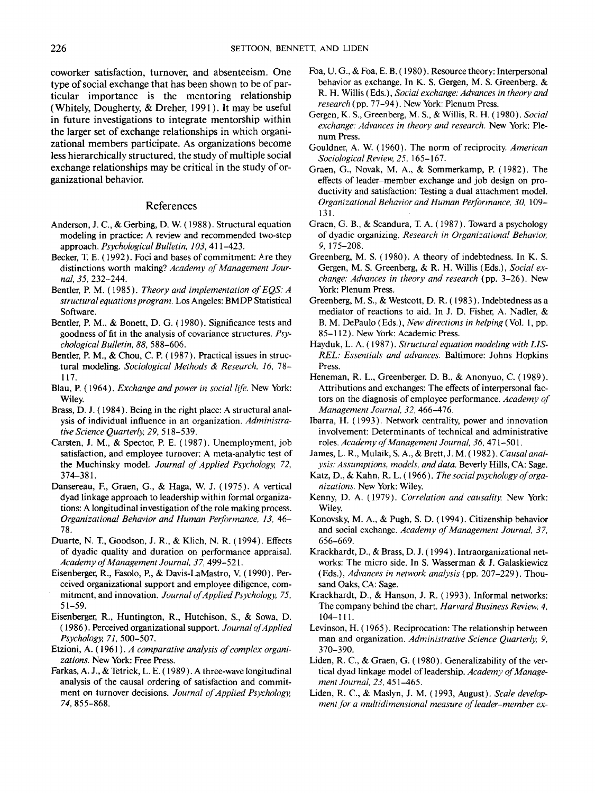coworker satisfaction, turnover, and absenteeism. One type of social exchange that has been shown to be of particular importance is the mentoring relationship (Whitely, Dougherty, & Dreher, 1991). It may be useful in future investigations to integrate mentorship within the larger set of exchange relationships in which organizational members participate. As organizations become less hierarchically structured, the study of multiple social exchange relationships may be critical in the study of organizational behavior.

# References

- Anderson, J. C, & Gerbing, D. W. (1988). Structural equation modeling in practice: A review and recommended two-step approach. *Psychological Bulletin, 103,* 411-423.
- Becker, T. E. (1992). Foci and bases of commitment: Are they distinctions worth making? *Academy of Management Journal, 35,* 232-244.
- Bentler, P. M. (1985). *Theory and implementation of EQS: A structural equal ions program.* Los Angeles: BMDP Statistical Software.
- Bentler, P. M., & Bonett, D. G. (1980). Significance tests and goodness of fit in the analysis of covariance structures. *Psychological Bulletin, 88,* 588-606.
- Bentler, P. M., & Chou, C. P. (1987). Practical issues in structural modeling. *Sociological Methods & Research, 16,* 78- 117.
- Blau, P. (1964). *Exchange and power in social life.* New York: Wiley.
- Brass, D. J. (1984). Being in the right place: A structural analysis of individual influence in an organization. *Administrative Science Quarterly, 29,* 518-539.
- Carsten, J. M., & Spector, P. E. (1987). Unemployment, job satisfaction, and employee turnover: A meta-analytic test of the Muchinsky model. *Journal of Applied Psychology, 72,* 374-381.
- Dansereau, E, Graen, G., & Haga, W. J. (1975). A vertical dyad linkage approach to leadership within formal organizations: A longitudinal investigation of the role making process. *Organizational Behavior and Human Performance, 13,* 46- 78.
- Duarte, N. T., Goodson, J. R., & Klich, N. R. (1994). Effects of dyadic quality and duration on performance appraisal. *Academy of Management Journal, 37,* 499-521.
- Eisenberger, R., Fasolo, P., & Davis-LaMastro, V. (1990). Perceived organizational support and employee diligence, commitment, and innovation. *Journal of Applied Psychology, 75,* 51-59.
- Eisenberger, R., Huntington, R., Hutchison, S., & Sowa, D. (1986). Perceived organizational support. *Journal of Applied Psychology, 71,* 500-507.
- Etzioni, A. (1961). *A comparative analysis of complex organizations.* New York: Free Press.
- Farkas, A. J., & Tetrick, L. E. (1989). A three-wave longitudinal analysis of the causal ordering of satisfaction and commitment on turnover decisions. *Journal of Applied Psychology, 74,* 855-868.
- Foa, U. G., & Foa, E. B. (1980). Resource theory: Interpersonal behavior as exchange. In K. S. Gergen, M. S. Greenberg, & R. H. Willis (Eds.), *Social exchange: Advances in theory and research* (pp. 77-94). New York: Plenum Press.
- Gergen, K. S., Greenberg, M. S., & Willis, R. H. (1980). *Social exchange: Advances in theory and research.* New York: Plenum Press.
- Gouldner, A. W. (1960). The norm of reciprocity. *American Sociological Review, 25,* 165-167.
- Graen, G., Novak, M. A., & Sommerkamp, P. (1982). The effects of leader-member exchange and job design on productivity and satisfaction: Testing a dual attachment model. *Organizational Behavior and Human Performance, 30,* 109- 131.
- Graen, G. B., & Scandura, T. A. (1987). Toward a psychology of dyadic organizing. *Research in Organizational Behavior, 9,* 175-208.
- Greenberg, M. S. (1980). A theory of indebtedness. In K. S. Gergen, M. S. Greenberg, & R. H. Willis (Eds.), *Social exchange: Advances in theory and research* (pp. 3-26). New York: Plenum Press.
- Greenberg, M. S., & Westcott, D. R. (1983). Indebtedness as a mediator of reactions to aid. In J. D. Fisher, A. Nadler, & B. M. DePaulo (Eds.), *New directions in helping(Vo\.* 1, pp. 85-112). New York: Academic Press.
- Hayduk, L. A. (1987). *Structural equation modeling with LIS-REL: Essentials and advances.* Baltimore: Johns Hopkins Press.
- Heneman, R. L., Greenberger, D. B., & Anonyuo, C. (1989). Attributions and exchanges: The effects of interpersonal factors on the diagnosis of employee performance. *Academy of Management Journal, 32,* 466-476.
- Ibarra, H. (1993). Network centrality, power and innovation involvement: Determinants of technical and administrative roles. *Academy of Management Journal, 36,* 471-501.
- James, L. R., Mulaik, S. A., & Brett, J. M. (1982). *Causal analysis: Assumptions, models, and data.* Beverly Hills, CA: Sage.
- Katz, D., & Kahn, R. L. (1966). *The social psychology of organizations.* New York: Wiley.
- Kenny, D. A. (1979). *Correlation and causality.* New York: Wiley.
- Konovsky, M. A., & Pugh, S. D. (1994). Citizenship behavior and social exchange. *Academy of Management Journal, 37,* 656-669.
- Krackhardt, D., & Brass, D. J. (1994). Intraorganizational networks: The micro side. In S. Wasserman & J. Galaskiewicz (Eds.), *Advances in network analysis* (pp. 207-229). Thousand Oaks, CA: Sage.
- Krackhardt, D., & Hanson, J. R. (1993). Informal networks: The company behind the chart. *Harvard Business Review, 4,* 104-111.
- Levinson, H. (1965). Reciprocation: The relationship between man and organization. *Administrative Science Quarterly, 9,* 370-390.
- Liden, R. C., & Graen, G. (1980). Generalizability of the vertical dyad linkage model of leadership. *Academy of Management Journal, 23,* 451-465.
- Liden, R. C., & Maslyn, J. M. (1993, August). *Scale development for a multidimensional measure of leader-member ex-*